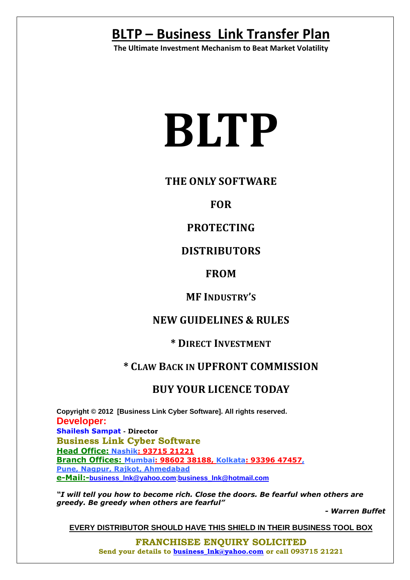**The Ultimate Investment Mechanism to Beat Market Volatility**

# **BLTP**

## **THE ONLY SOFTWARE**

# **FOR**

# **PROTECTING**

# **DISTRIBUTORS**

## **FROM**

## **MF INDUSTRY'S**

## **NEW GUIDELINES & RULES**

## **\* DIRECT INVESTMENT**

## **\* CLAW BACK IN UPFRONT COMMISSION**

# **BUY YOUR LICENCE TODAY**

**Copyright © 2012 [Business Link Cyber Software]. All rights reserved. Developer: Shailesh Sampat - Director Business Link Cyber Software Head Office: Nashik: 93715 21221 Branch Offices: Mumbai: 98602 38188, Kolkata: 93396 47457, Pune, Nagpur, Rajkot, Ahmedabad e-Mail:-business\_lnk@yahoo.com**;**business\_lnk@hotmail.com**

*"I will tell you how to become rich. Close the doors. Be fearful when others are greedy. Be greedy when others are fearful"* 

*- Warren Buffet*

**EVERY DISTRIBUTOR SHOULD HAVE THIS SHIELD IN THEIR BUSINESS TOOL BOX**

**FRANCHISEE ENQUIRY SOLICITED Send your details to business\_lnk@yahoo.com or call 093715 21221**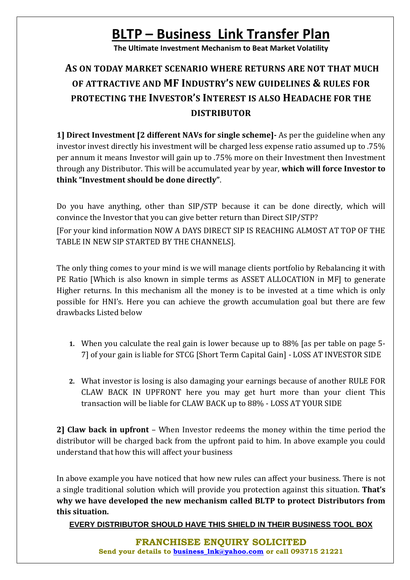**The Ultimate Investment Mechanism to Beat Market Volatility**

# **AS ON TODAY MARKET SCENARIO WHERE RETURNS ARE NOT THAT MUCH OF ATTRACTIVE AND MF INDUSTRY'S NEW GUIDELINES & RULES FOR PROTECTING THE INVESTOR'S INTEREST IS ALSO HEADACHE FOR THE DISTRIBUTOR**

**1] Direct Investment [2 different NAVs for single scheme]-** As per the guideline when any investor invest directly his investment will be charged less expense ratio assumed up to .75% per annum it means Investor will gain up to .75% more on their Investment then Investment through any Distributor. This will be accumulated year by year, **which will force Investor to think "Investment should be done directly"**.

Do you have anything, other than SIP/STP because it can be done directly, which will convince the Investor that you can give better return than Direct SIP/STP?

[For your kind information NOW A DAYS DIRECT SIP IS REACHING ALMOST AT TOP OF THE TABLE IN NEW SIP STARTED BY THE CHANNELS].

The only thing comes to your mind is we will manage clients portfolio by Rebalancing it with PE Ratio [Which is also known in simple terms as ASSET ALLOCATION in MF] to generate Higher returns. In this mechanism all the money is to be invested at a time which is only possible for HNI's. Here you can achieve the growth accumulation goal but there are few drawbacks Listed below

- **1.** When you calculate the real gain is lower because up to 88% [as per table on page 5- 7] of your gain is liable for STCG [Short Term Capital Gain] - LOSS AT INVESTOR SIDE
- **2.** What investor is losing is also damaging your earnings because of another RULE FOR CLAW BACK IN UPFRONT here you may get hurt more than your client This transaction will be liable for CLAW BACK up to 88% - LOSS AT YOUR SIDE

**2] Claw back in upfront** – When Investor redeems the money within the time period the distributor will be charged back from the upfront paid to him. In above example you could understand that how this will affect your business

In above example you have noticed that how new rules can affect your business. There is not a single traditional solution which will provide you protection against this situation. **That's why we have developed the new mechanism called BLTP to protect Distributors from this situation.**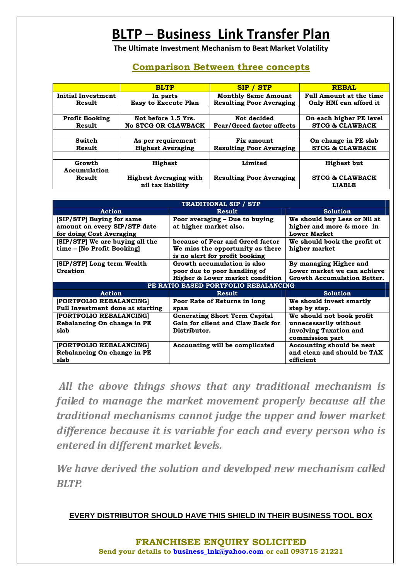**The Ultimate Investment Mechanism to Beat Market Volatility**

#### **Comparison Between three concepts**

|                           | <b>BLTP</b>                            | <b>SIP / STP</b>                 | <b>REBAL</b>                   |
|---------------------------|----------------------------------------|----------------------------------|--------------------------------|
| <b>Initial Investment</b> | <b>Monthly Same Amount</b><br>In parts |                                  | <b>Full Amount at the time</b> |
| Result                    | <b>Easy to Execute Plan</b>            | <b>Resulting Poor Averaging</b>  | Only HNI can afford it         |
|                           |                                        |                                  |                                |
| <b>Profit Booking</b>     | Not before 1.5 Yrs.                    | Not decided                      | On each higher PE level        |
| Result                    | <b>No STCG OR CLAWBACK</b>             | <b>Fear/Greed factor affects</b> | <b>STCG &amp; CLAWBACK</b>     |
|                           |                                        |                                  |                                |
| <b>Switch</b>             | As per requirement                     | Fix amount                       | On change in PE slab           |
| Result                    | <b>Highest Averaging</b>               | <b>Resulting Poor Averaging</b>  | <b>STCG &amp; CLAWBACK</b>     |
|                           |                                        |                                  |                                |
| Growth                    | Highest                                | Limited                          | <b>Highest but</b>             |
| Accumulation              |                                        |                                  |                                |
| Result                    | <b>Highest Averaging with</b>          | <b>Resulting Poor Averaging</b>  | <b>STCG &amp; CLAWBACK</b>     |
|                           | nil tax liability                      |                                  | <b>LIABLE</b>                  |

| <b>TRADITIONAL SIP / STP</b>            |                                      |                                    |  |  |  |  |
|-----------------------------------------|--------------------------------------|------------------------------------|--|--|--|--|
| Action                                  | <b>Result</b>                        | <b>Solution</b>                    |  |  |  |  |
| [SIP/STP] Buying for same               | Poor averaging - Due to buying       | We should buy Less or Nil at       |  |  |  |  |
| amount on every SIP/STP date            | at higher market also.               | higher and more & more in          |  |  |  |  |
| for doing Cost Averaging                |                                      | <b>Lower Market</b>                |  |  |  |  |
| [SIP/STP] We are buying all the         | because of Fear and Greed factor     | We should book the profit at       |  |  |  |  |
| time - [No Profit Booking]              | We miss the opportunity as there     | higher market                      |  |  |  |  |
|                                         | is no alert for profit booking       |                                    |  |  |  |  |
| [SIP/STP] Long term Wealth              | Growth accumulation is also          | By managing Higher and             |  |  |  |  |
| Creation                                | poor due to poor handling of         | Lower market we can achieve        |  |  |  |  |
|                                         | Higher & Lower market condition      | <b>Growth Accumulation Better.</b> |  |  |  |  |
|                                         | PE RATIO BASED PORTFOLIO REBALANCING |                                    |  |  |  |  |
| <b>Action</b>                           | <b>Result</b>                        | <b>Solution</b>                    |  |  |  |  |
| [PORTFOLIO REBALANCING]                 | Poor Rate of Returns in long         | We should invest smartly           |  |  |  |  |
| <b>Full Investment done at starting</b> | span                                 | step by step.                      |  |  |  |  |
| [PORTFOLIO REBALANCING]                 | <b>Generating Short Term Capital</b> | We should not book profit          |  |  |  |  |
| Rebalancing On change in PE             | Gain for client and Claw Back for    | unnecessarily without              |  |  |  |  |
| slab                                    | Distributor.                         | involving Taxation and             |  |  |  |  |
|                                         |                                      | commission part                    |  |  |  |  |
| [PORTFOLIO REBALANCING]                 | Accounting will be complicated       | Accounting should be neat          |  |  |  |  |
| Rebalancing On change in PE             |                                      | and clean and should be TAX        |  |  |  |  |
| slab                                    |                                      | efficient                          |  |  |  |  |

 *All the above things shows that any traditional mechanism is failed to manage the market movement properly because all the traditional mechanisms cannot judge the upper and lower market difference because it is variable for each and every person who is entered in different market levels.* 

*We have derived the solution and developed new mechanism called BLTP.*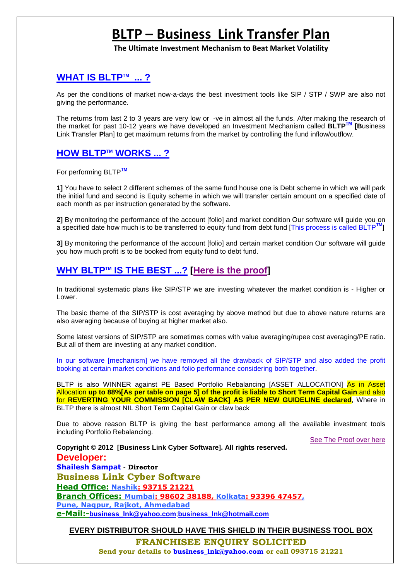**The Ultimate Investment Mechanism to Beat Market Volatility**

#### **WHAT IS BLTPTM ... ?**

As per the conditions of market now-a-days the best investment tools like SIP / STP / SWP are also not giving the performance.

The returns from last 2 to 3 years are very low or -ve in almost all the funds. After making the research of the market for past 10-12 years we have developed an Investment Mechanism called **BLTPTM [B**usiness **L**ink **T**ransfer **P**lan] to get maximum returns from the market by controlling the fund inflow/outflow.

#### **HOW BLTPTM WORKS ... ?**

For performing BLTP**TM**

**1]** You have to select 2 different schemes of the same fund house one is Debt scheme in which we will park the initial fund and second is Equity scheme in which we will transfer certain amount on a specified date of each month as per instruction generated by the software.

**2]** By monitoring the performance of the account [folio] and market condition Our software will guide you on a specified date how much is to be transferred to equity fund from debt fund [This process is called BLTP**TM**]

**3]** By monitoring the performance of the account [folio] and certain market condition Our software will guide you how much profit is to be booked from equity fund to debt fund.

#### **WHY BLTP™ IS THE BEST ...? [Here is the proof]**

In traditional systematic plans like SIP/STP we are investing whatever the market condition is - Higher or Lower.

The basic theme of the SIP/STP is cost averaging by above method but due to above nature returns are also averaging because of buying at higher market also.

Some latest versions of SIP/STP are sometimes comes with value averaging/rupee cost averaging/PE ratio. But all of them are investing at any market condition.

In our software [mechanism] we have removed all the drawback of SIP/STP and also added the profit booking at certain market conditions and folio performance considering both together.

BLTP is also WINNER against PE Based Portfolio Rebalancing [ASSET ALLOCATION] As in Asset Allocation **up to 88%[As per table on page 5] of the profit is liable to Short Term Capital Gain** and also for **REVERTING YOUR COMMISSION [CLAW BACK] AS PER NEW GUIDELINE declared**, Where in BLTP there is almost NIL Short Term Capital Gain or claw back

Due to above reason BLTP is giving the best performance among all the available investment tools including Portfolio Rebalancing.

See The Proof over here

**Copyright © 2012 [Business Link Cyber Software]. All rights reserved. Developer: Shailesh Sampat - Director Business Link Cyber Software Head Office: Nashik: 93715 21221 Branch Offices: Mumbai: 98602 38188, Kolkata: 93396 47457, Pune, Nagpur, Rajkot, Ahmedabad e-Mail:-business\_lnk@yahoo.com**;**business\_lnk@hotmail.com**

**EVERY DISTRIBUTOR SHOULD HAVE THIS SHIELD IN THEIR BUSINESS TOOL BOX**

**FRANCHISEE ENQUIRY SOLICITED** 

 **Send your details to business\_lnk@yahoo.com or call 093715 21221**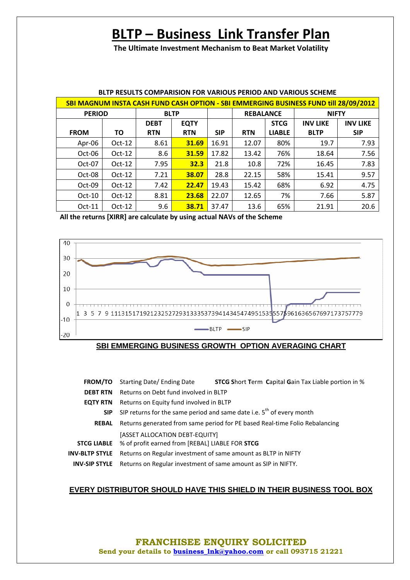**The Ultimate Investment Mechanism to Beat Market Volatility**

| SBI MAGNUM INSTA CASH FUND CASH OPTION - SBI EMMERGING BUSINESS FUND till 28/09/2012 |               |             |             |            |                  |               |                 |                 |
|--------------------------------------------------------------------------------------|---------------|-------------|-------------|------------|------------------|---------------|-----------------|-----------------|
|                                                                                      | <b>PERIOD</b> |             | <b>BLTP</b> |            | <b>REBALANCE</b> |               | <b>NIFTY</b>    |                 |
|                                                                                      |               | <b>DEBT</b> | <b>EQTY</b> |            |                  | <b>STCG</b>   | <b>INV LIKE</b> | <b>INV LIKE</b> |
| <b>FROM</b>                                                                          | ΤO            | <b>RTN</b>  | <b>RTN</b>  | <b>SIP</b> | <b>RTN</b>       | <b>LIABLE</b> | <b>BLTP</b>     | <b>SIP</b>      |
| Apr-06                                                                               | $Oct-12$      | 8.61        | 31.69       | 16.91      | 12.07            | 80%           | 19.7            | 7.93            |
| Oct-06                                                                               | $Oct-12$      | 8.6         | 31.59       | 17.82      | 13.42            | 76%           | 18.64           | 7.56            |
| Oct-07                                                                               | $Oct-12$      | 7.95        | 32.3        | 21.8       | 10.8             | 72%           | 16.45           | 7.83            |
| Oct-08                                                                               | $Oct-12$      | 7.21        | 38.07       | 28.8       | 22.15            | 58%           | 15.41           | 9.57            |
| Oct-09                                                                               | $Oct-12$      | 7.42        | 22.47       | 19.43      | 15.42            | 68%           | 6.92            | 4.75            |
| $Oct-10$                                                                             | $Oct-12$      | 8.81        | 23.68       | 22.07      | 12.65            | 7%            | 7.66            | 5.87            |
| $Oct-11$                                                                             | $Oct-12$      | 9.6         | 38.71       | 37.47      | 13.6             | 65%           | 21.91           | 20.6            |

### **BLTP RESULTS COMPARISION FOR VARIOUS PERIOD AND VARIOUS SCHEME**

**All the returns [XIRR] are calculate by using actual NAVs of the Scheme** 





- **FROM/TO** Starting Date/ Ending Date **STCG S**hort **T**erm **C**apital **G**ain Tax Liable portion in %
- **DEBT RTN** Returns on Debt fund involved in BLTP
- **EQTY RTN** Returns on Equity fund involved in BLTP

**SIP** SIP returns for the same period and same date i.e.  $5^{th}$  of every month

- **REBAL** Returns generated from same period for PE based Real-time Folio Rebalancing [ASSET ALLOCATION DEBT-EQUITY]
- **STCG LIABLE** % of profit earned from [REBAL] LIABLE FOR **STCG**
- **INV-BLTP STYLE** Returns on Regular investment of same amount as BLTP in NIFTY
- **INV-SIP STYLE** Returns on Regular investment of same amount as SIP in NIFTY.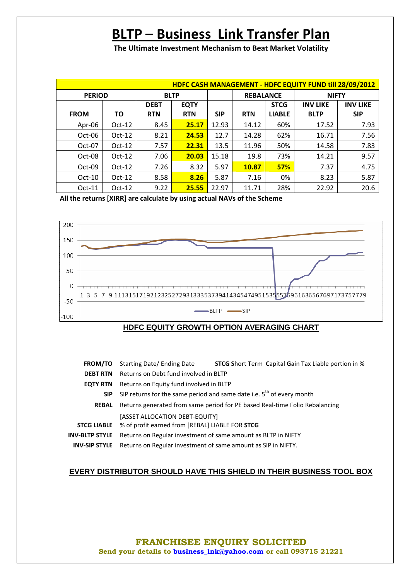**The Ultimate Investment Mechanism to Beat Market Volatility**

| HDFC CASH MANAGEMENT - HDFC EQUITY FUND till 28/09/2012 |                              |             |             |            |                  |               |                 |                 |
|---------------------------------------------------------|------------------------------|-------------|-------------|------------|------------------|---------------|-----------------|-----------------|
|                                                         | <b>PERIOD</b><br><b>BLTP</b> |             |             |            | <b>REBALANCE</b> |               | <b>NIFTY</b>    |                 |
|                                                         |                              | <b>DEBT</b> | <b>EQTY</b> |            |                  | <b>STCG</b>   | <b>INV LIKE</b> | <b>INV LIKE</b> |
| <b>FROM</b>                                             | ΤO                           | <b>RTN</b>  | <b>RTN</b>  | <b>SIP</b> | <b>RTN</b>       | <b>LIABLE</b> | <b>BLTP</b>     | <b>SIP</b>      |
| Apr-06                                                  | $Oct-12$                     | 8.45        | 25.17       | 12.93      | 14.12            | 60%           | 17.52           | 7.93            |
| Oct-06                                                  | $Oct-12$                     | 8.21        | 24.53       | 12.7       | 14.28            | 62%           | 16.71           | 7.56            |
| Oct-07                                                  | $Oct-12$                     | 7.57        | 22.31       | 13.5       | 11.96            | 50%           | 14.58           | 7.83            |
| Oct-08                                                  | $Oct-12$                     | 7.06        | 20.03       | 15.18      | 19.8             | 73%           | 14.21           | 9.57            |
| Oct-09                                                  | $Oct-12$                     | 7.26        | 8.32        | 5.97       | 10.87            | 57%           | 7.37            | 4.75            |
| $Oct-10$                                                | $Oct-12$                     | 8.58        | 8.26        | 5.87       | 7.16             | 0%            | 8.23            | 5.87            |
| $Oct-11$                                                | $Oct-12$                     | 9.22        | 25.55       | 22.97      | 11.71            | 28%           | 22.92           | 20.6            |

**All the returns [XIRR] are calculate by using actual NAVs of the Scheme** 



#### **HDFC EQUITY GROWTH OPTION AVERAGING CHART**

- **FROM/TO** Starting Date/ Ending Date **STCG S**hort **T**erm **C**apital **G**ain Tax Liable portion in %
- **DEBT RTN** Returns on Debt fund involved in BLTP
- **EQTY RTN** Returns on Equity fund involved in BLTP
	- **SIP** SIP returns for the same period and same date i.e.  $5<sup>th</sup>$  of every month
- **REBAL** Returns generated from same period for PE based Real-time Folio Rebalancing [ASSET ALLOCATION DEBT-EQUITY]
- **STCG LIABLE** % of profit earned from [REBAL] LIABLE FOR **STCG**
- **INV-BLTP STYLE** Returns on Regular investment of same amount as BLTP in NIFTY
	- **INV-SIP STYLE** Returns on Regular investment of same amount as SIP in NIFTY.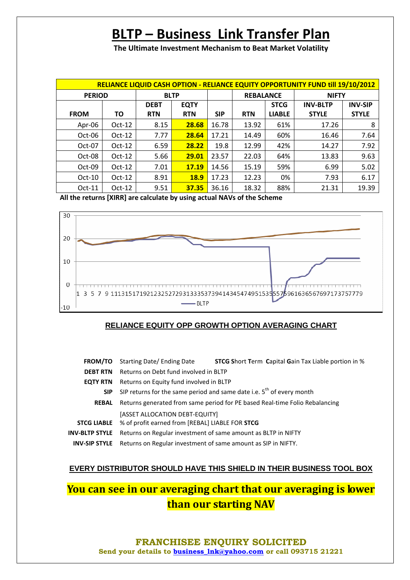**The Ultimate Investment Mechanism to Beat Market Volatility**

| <b>RELIANCE LIQUID CASH OPTION - RELIANCE EQUITY OPPORTUNITY FUND till 19/10/2012</b> |          |             |             |            |                  |               |                 |                |
|---------------------------------------------------------------------------------------|----------|-------------|-------------|------------|------------------|---------------|-----------------|----------------|
| <b>PERIOD</b>                                                                         |          | <b>BLTP</b> |             |            | <b>REBALANCE</b> |               | <b>NIFTY</b>    |                |
|                                                                                       |          | <b>DEBT</b> | <b>EQTY</b> |            |                  | <b>STCG</b>   | <b>INV-BLTP</b> | <b>INV-SIP</b> |
| <b>FROM</b>                                                                           | ΤО       | <b>RTN</b>  | <b>RTN</b>  | <b>SIP</b> | <b>RTN</b>       | <b>LIABLE</b> | <b>STYLE</b>    | <b>STYLE</b>   |
| Apr-06                                                                                | $Oct-12$ | 8.15        | 28.68       | 16.78      | 13.92            | 61%           | 17.26           | 8              |
| Oct-06                                                                                | $Oct-12$ | 7.77        | 28.64       | 17.21      | 14.49            | 60%           | 16.46           | 7.64           |
| Oct-07                                                                                | $Oct-12$ | 6.59        | 28.22       | 19.8       | 12.99            | 42%           | 14.27           | 7.92           |
| Oct-08                                                                                | $Oct-12$ | 5.66        | 29.01       | 23.57      | 22.03            | 64%           | 13.83           | 9.63           |
| Oct-09                                                                                | $Oct-12$ | 7.01        | 17.19       | 14.56      | 15.19            | 59%           | 6.99            | 5.02           |
| $Oct-10$                                                                              | $Oct-12$ | 8.91        | <b>18.9</b> | 17.23      | 12.23            | 0%            | 7.93            | 6.17           |
| $Oct-11$                                                                              | $Oct-12$ | 9.51        | 37.35       | 36.16      | 18.32            | 88%           | 21.31           | 19.39          |

**All the returns [XIRR] are calculate by using actual NAVs of the Scheme** 



#### **RELIANCE EQUITY OPP GROWTH OPTION AVERAGING CHART**

|                 | <b>FROM/TO</b> Starting Date/ Ending Date                                                            | <b>STCG Short Term Capital Gain Tax Liable portion in %</b>                 |
|-----------------|------------------------------------------------------------------------------------------------------|-----------------------------------------------------------------------------|
| <b>DEBT RTN</b> | Returns on Debt fund involved in BLTP                                                                |                                                                             |
| <b>EQTY RTN</b> | Returns on Equity fund involved in BLTP                                                              |                                                                             |
| SIP.            |                                                                                                      | SIP returns for the same period and same date i.e. $5^{th}$ of every month  |
| <b>REBAL</b>    |                                                                                                      | Returns generated from same period for PE based Real-time Folio Rebalancing |
|                 | [ASSET ALLOCATION DEBT-EQUITY]<br><b>STCG LIABLE</b> % of profit earned from [REBAL] LIABLE FOR STCG |                                                                             |
| INV-BLTP STYLE  | Returns on Regular investment of same amount as BLTP in NIFTY                                        |                                                                             |
|                 | <b>INV-SIP STYLE</b> Returns on Regular investment of same amount as SIP in NIFTY.                   |                                                                             |

#### **EVERY DISTRIBUTOR SHOULD HAVE THIS SHIELD IN THEIR BUSINESS TOOL BOX**

# **You can see in our averaging chart that our averaging is lower than our starting NAV**

**FRANCHISEE ENQUIRY SOLICITED Send your details to business\_lnk@yahoo.com or call 093715 21221**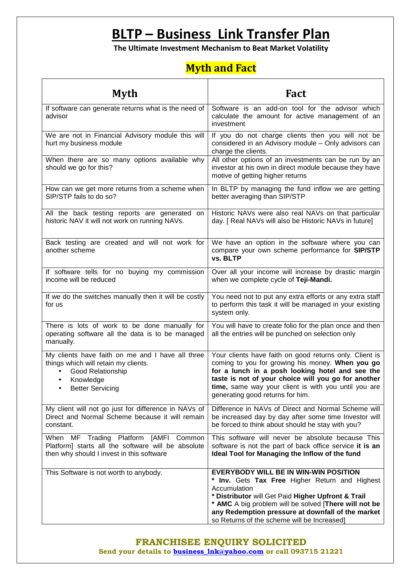**The Ultimate Investment Mechanism to Beat Market Volatility**

# **Myth and Fact**

| <b>Myth</b>                                                                                                                                                               | <b>Fact</b>                                                                                                                                                                                                                                                                                                                       |
|---------------------------------------------------------------------------------------------------------------------------------------------------------------------------|-----------------------------------------------------------------------------------------------------------------------------------------------------------------------------------------------------------------------------------------------------------------------------------------------------------------------------------|
| If software can generate returns what is the need of<br>advisor                                                                                                           | Software is an add-on tool for the advisor which<br>calculate the amount for active management of an<br>investment                                                                                                                                                                                                                |
| We are not in Financial Advisory module this will<br>hurt my business module                                                                                              | If you do not charge clients then you will not be<br>considered in an Advisory module - Only advisors can<br>charge the clients.                                                                                                                                                                                                  |
| When there are so many options available why<br>should we go for this?                                                                                                    | All other options of an investments can be run by an<br>investor at his own in direct module because they have<br>motive of getting higher returns                                                                                                                                                                                |
| How can we get more returns from a scheme when<br>SIP/STP fails to do so?                                                                                                 | In BLTP by managing the fund inflow we are getting<br>better averaging than SIP/STP                                                                                                                                                                                                                                               |
| All the back testing reports are generated on<br>historic NAV it will not work on running NAVs.                                                                           | Historic NAVs were also real NAVs on that particular<br>day. [ Real NAVs will also be Historic NAVs in future]                                                                                                                                                                                                                    |
| Back testing are created and will not work for<br>another scheme                                                                                                          | We have an option in the software where you can<br>compare your own scheme performance for SIP/STP<br>vs. BLTP                                                                                                                                                                                                                    |
| If software tells for no buying my commission<br>income will be reduced                                                                                                   | Over all your income will increase by drastic margin<br>when we complete cycle of Teji-Mandi.                                                                                                                                                                                                                                     |
| If we do the switches manually then it will be costly<br>for us                                                                                                           | You need not to put any extra efforts or any extra staff<br>to perform this task it will be managed in your existing<br>system only.                                                                                                                                                                                              |
| There is lots of work to be done manually for<br>operating software all the data is to be managed<br>manually.                                                            | You will have to create folio for the plan once and then<br>all the entries will be punched on selection only                                                                                                                                                                                                                     |
| My clients have faith on me and I have all three<br>things which will retain my clients.<br><b>Good Relationship</b><br>Knowledge<br>$\bullet$<br><b>Better Servicing</b> | Your clients have faith on good returns only. Client is<br>coming to you for growing his money. When you go<br>for a lunch in a posh looking hotel and see the<br>taste is not of your choice will you go for another<br>time, same way your client is with you until you are<br>generating good returns for him.                 |
| My client will not go just for difference in NAVs of<br>Direct and Normal Scheme because it will remain<br>constant.                                                      | Difference in NAVs of Direct and Normal Scheme will<br>be increased day by day after some time Investor will<br>be forced to think about should he stay with you?                                                                                                                                                                 |
| When MF Trading Platform [AMFI<br>Common<br>Platform] starts all the software will be absolute<br>then why should I invest in this software                               | This software will never be absolute because This<br>software is not the part of back office service it is an<br>Ideal Tool for Managing the Inflow of the fund                                                                                                                                                                   |
| This Software is not worth to anybody.                                                                                                                                    | <b>EVERYBODY WILL BE IN WIN-WIN POSITION</b><br>* Inv. Gets Tax Free Higher Return and Highest<br>Accumulation<br>* Distributor will Get Paid Higher Upfront & Trail<br>* AMC A big problem will be solved [There will not be<br>any Redemption pressure at downfall of the market<br>so Returns of the scheme will be Increased] |